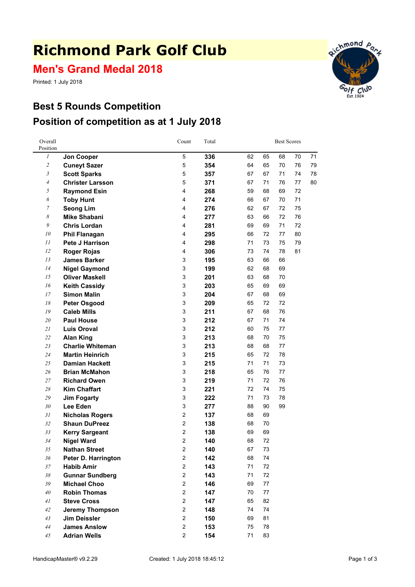# **Richmond Park Golf Club**

**Men's Grand Medal 2018**

Printed: 1 July 2018



# **Best 5 Rounds Competition Position of competition as at 1 July 2018**

| Overall<br>Position |                         | Count                   | Total |    |    | <b>Best Scores</b> |    |    |  |  |
|---------------------|-------------------------|-------------------------|-------|----|----|--------------------|----|----|--|--|
| 1                   | <b>Jon Cooper</b>       | 5                       | 336   | 62 | 65 | 68                 | 70 | 71 |  |  |
| $\overline{c}$      | <b>Cuneyt Sazer</b>     | 5                       | 354   | 64 | 65 | 70                 | 76 | 79 |  |  |
| $\mathfrak{Z}$      | <b>Scott Sparks</b>     | 5                       | 357   | 67 | 67 | 71                 | 74 | 78 |  |  |
| $\overline{4}$      | <b>Christer Larsson</b> | 5                       | 371   | 67 | 71 | 76                 | 77 | 80 |  |  |
| 5                   | <b>Raymond Esin</b>     | 4                       | 268   | 59 | 68 | 69                 | 72 |    |  |  |
| 6                   | <b>Toby Hunt</b>        | $\overline{\mathbf{4}}$ | 274   | 66 | 67 | 70                 | 71 |    |  |  |
| $\boldsymbol{7}$    | <b>Seong Lim</b>        | 4                       | 276   | 62 | 67 | 72                 | 75 |    |  |  |
| 8                   | <b>Mike Shabani</b>     | 4                       | 277   | 63 | 66 | 72                 | 76 |    |  |  |
| 9                   | <b>Chris Lordan</b>     | 4                       | 281   | 69 | 69 | 71                 | 72 |    |  |  |
| 10                  | <b>Phil Flanagan</b>    | 4                       | 295   | 66 | 72 | 77                 | 80 |    |  |  |
| 11                  | Pete J Harrison         | $\overline{\mathbf{4}}$ | 298   | 71 | 73 | 75                 | 79 |    |  |  |
| 12                  | <b>Roger Rojas</b>      | $\overline{\mathbf{4}}$ | 306   | 73 | 74 | 78                 | 81 |    |  |  |
| 13                  | <b>James Barker</b>     | 3                       | 195   | 63 | 66 | 66                 |    |    |  |  |
| 14                  | <b>Nigel Gaymond</b>    | 3                       | 199   | 62 | 68 | 69                 |    |    |  |  |
| 15                  | <b>Oliver Maskell</b>   | 3                       | 201   | 63 | 68 | 70                 |    |    |  |  |
| 16                  | <b>Keith Cassidy</b>    | 3                       | 203   | 65 | 69 | 69                 |    |    |  |  |
| 17                  | <b>Simon Malin</b>      | 3                       | 204   | 67 | 68 | 69                 |    |    |  |  |
| 18                  | <b>Peter Osgood</b>     | 3                       | 209   | 65 | 72 | 72                 |    |    |  |  |
| 19                  | <b>Caleb Mills</b>      | 3                       | 211   | 67 | 68 | 76                 |    |    |  |  |
| 20                  | <b>Paul House</b>       | 3                       | 212   | 67 | 71 | 74                 |    |    |  |  |
| 21                  | <b>Luis Oroval</b>      | 3                       | 212   | 60 | 75 | $77\,$             |    |    |  |  |
| 22                  | <b>Alan King</b>        | 3                       | 213   | 68 | 70 | 75                 |    |    |  |  |
| 23                  | <b>Charlie Whiteman</b> | 3                       | 213   | 68 | 68 | 77                 |    |    |  |  |
| 24                  | <b>Martin Heinrich</b>  | 3                       | 215   | 65 | 72 | 78                 |    |    |  |  |
| 25                  | <b>Damian Hackett</b>   | 3                       | 215   | 71 | 71 | 73                 |    |    |  |  |
| 26                  | <b>Brian McMahon</b>    | 3                       | 218   | 65 | 76 | 77                 |    |    |  |  |
| 27                  | <b>Richard Owen</b>     | 3                       | 219   | 71 | 72 | 76                 |    |    |  |  |
| 28                  | <b>Kim Chaffart</b>     | 3                       | 221   | 72 | 74 | 75                 |    |    |  |  |
| 29                  | <b>Jim Fogarty</b>      | 3                       | 222   | 71 | 73 | 78                 |    |    |  |  |
| 30                  | Lee Eden                | 3                       | 277   | 88 | 90 | 99                 |    |    |  |  |
| 31                  | <b>Nicholas Rogers</b>  | $\overline{2}$          | 137   | 68 | 69 |                    |    |    |  |  |
| 32                  | <b>Shaun DuPreez</b>    | $\overline{2}$          | 138   | 68 | 70 |                    |    |    |  |  |
| 33                  | <b>Kerry Sargeant</b>   | $\overline{2}$          | 138   | 69 | 69 |                    |    |    |  |  |
| 34                  | <b>Nigel Ward</b>       | $\overline{c}$          | 140   | 68 | 72 |                    |    |    |  |  |
| 35                  | <b>Nathan Street</b>    | 2                       | 140   | 67 | 73 |                    |    |    |  |  |
| 36                  | Peter D. Harrington     | $\overline{2}$          | 142   | 68 | 74 |                    |    |    |  |  |
| 37                  | <b>Habib Amir</b>       | $\overline{2}$          | 143   | 71 | 72 |                    |    |    |  |  |
| 38                  | <b>Gunnar Sundberg</b>  | $\overline{2}$          | 143   | 71 | 72 |                    |    |    |  |  |
| 39                  | <b>Michael Choo</b>     | $\overline{2}$          | 146   | 69 | 77 |                    |    |    |  |  |
| 40                  | <b>Robin Thomas</b>     | $\overline{2}$          | 147   | 70 | 77 |                    |    |    |  |  |
| 41                  | <b>Steve Cross</b>      | $\overline{2}$          | 147   | 65 | 82 |                    |    |    |  |  |
| 42                  | <b>Jeremy Thompson</b>  | $\overline{2}$          | 148   | 74 | 74 |                    |    |    |  |  |
| 43                  | <b>Jim Deissler</b>     | $\overline{c}$          | 150   | 69 | 81 |                    |    |    |  |  |
| 44                  | <b>James Anslow</b>     | $\overline{c}$          | 153   | 75 | 78 |                    |    |    |  |  |
| 45                  | <b>Adrian Wells</b>     | $\overline{c}$          | 154   | 71 | 83 |                    |    |    |  |  |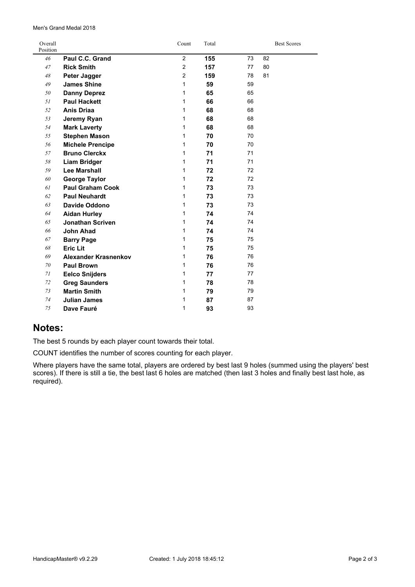#### Men's Grand Medal 2018

| Overall<br>Position |                             | Count          | Total |    | <b>Best Scores</b> |
|---------------------|-----------------------------|----------------|-------|----|--------------------|
| 46                  | Paul C.C. Grand             | 2              | 155   | 73 | 82                 |
| 47                  | <b>Rick Smith</b>           | $\overline{2}$ | 157   | 77 | 80                 |
| 48                  | Peter Jagger                | 2              | 159   | 78 | 81                 |
| 49                  | <b>James Shine</b>          | 1              | 59    | 59 |                    |
| 50                  | <b>Danny Deprez</b>         | 1              | 65    | 65 |                    |
| 51                  | <b>Paul Hackett</b>         | 1              | 66    | 66 |                    |
| 52                  | <b>Anis Driaa</b>           | 1              | 68    | 68 |                    |
| 53                  | Jeremy Ryan                 | 1              | 68    | 68 |                    |
| 54                  | <b>Mark Laverty</b>         | 1              | 68    | 68 |                    |
| 55                  | <b>Stephen Mason</b>        | 1              | 70    | 70 |                    |
| 56                  | <b>Michele Prencipe</b>     | 1              | 70    | 70 |                    |
| 57                  | <b>Bruno Clerckx</b>        | 1              | 71    | 71 |                    |
| 58                  | <b>Liam Bridger</b>         | 1              | 71    | 71 |                    |
| 59                  | <b>Lee Marshall</b>         | 1              | 72    | 72 |                    |
| 60                  | <b>George Taylor</b>        | 1              | 72    | 72 |                    |
| 61                  | <b>Paul Graham Cook</b>     | 1              | 73    | 73 |                    |
| 62                  | <b>Paul Neuhardt</b>        | 1              | 73    | 73 |                    |
| 63                  | Davide Oddono               | 1              | 73    | 73 |                    |
| 64                  | <b>Aidan Hurley</b>         | 1              | 74    | 74 |                    |
| 65                  | <b>Jonathan Scriven</b>     | 1              | 74    | 74 |                    |
| 66                  | <b>John Ahad</b>            | 1              | 74    | 74 |                    |
| 67                  | <b>Barry Page</b>           | 1              | 75    | 75 |                    |
| 68                  | <b>Eric Lit</b>             | 1              | 75    | 75 |                    |
| 69                  | <b>Alexander Krasnenkov</b> | 1              | 76    | 76 |                    |
| 70                  | <b>Paul Brown</b>           | 1              | 76    | 76 |                    |
| 71                  | <b>Eelco Snijders</b>       | 1              | 77    | 77 |                    |
| 72                  | <b>Greg Saunders</b>        | 1              | 78    | 78 |                    |
| 73                  | <b>Martin Smith</b>         | 1              | 79    | 79 |                    |
| 74                  | <b>Julian James</b>         | 1              | 87    | 87 |                    |
| 75                  | Dave Fauré                  | 1              | 93    | 93 |                    |

### **Notes:**

The best 5 rounds by each player count towards their total.

COUNT identifies the number of scores counting for each player.

Where players have the same total, players are ordered by best last 9 holes (summed using the players' best scores). If there is still <sup>a</sup> tie, the best last 6 holes are matched (then last 3 holes and finally best last hole, as required).